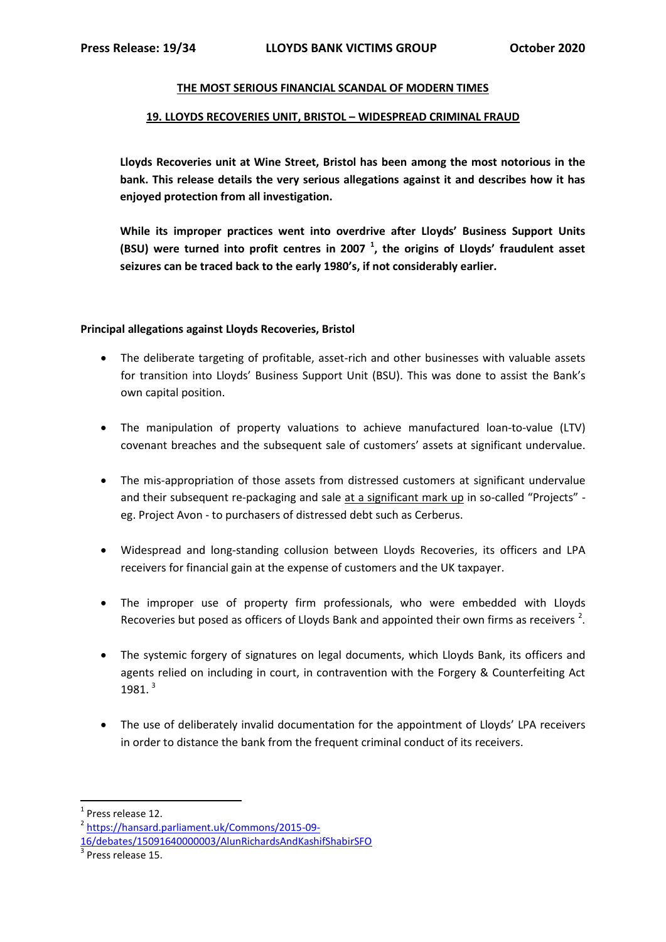### **THE MOST SERIOUS FINANCIAL SCANDAL OF MODERN TIMES**

### **19. LLOYDS RECOVERIES UNIT, BRISTOL – WIDESPREAD CRIMINAL FRAUD**

**Lloyds Recoveries unit at Wine Street, Bristol has been among the most notorious in the bank. This release details the very serious allegations against it and describes how it has enjoyed protection from all investigation.** 

**While its improper practices went into overdrive after Lloyds' Business Support Units (BSU) were turned into profit centres in 2007 <sup>1</sup> , the origins of Lloyds' fraudulent asset seizures can be traced back to the early 1980's, if not considerably earlier.**

### **Principal allegations against Lloyds Recoveries, Bristol**

- The deliberate targeting of profitable, asset-rich and other businesses with valuable assets for transition into Lloyds' Business Support Unit (BSU). This was done to assist the Bank's own capital position.
- The manipulation of property valuations to achieve manufactured loan-to-value (LTV) covenant breaches and the subsequent sale of customers' assets at significant undervalue.
- The mis-appropriation of those assets from distressed customers at significant undervalue and their subsequent re-packaging and sale at a significant mark up in so-called "Projects" eg. Project Avon - to purchasers of distressed debt such as Cerberus.
- Widespread and long-standing collusion between Lloyds Recoveries, its officers and LPA receivers for financial gain at the expense of customers and the UK taxpayer.
- The improper use of property firm professionals, who were embedded with Lloyds Recoveries but posed as officers of Lloyds Bank and appointed their own firms as receivers<sup>2</sup>.
- The systemic forgery of signatures on legal documents, which Lloyds Bank, its officers and agents relied on including in court, in contravention with the Forgery & Counterfeiting Act 1981.<sup>3</sup>
- The use of deliberately invalid documentation for the appointment of Lloyds' LPA receivers in order to distance the bank from the frequent criminal conduct of its receivers.

1

<sup>&</sup>lt;sup>1</sup> Press release 12.

<sup>2</sup> [https://hansard.parliament.uk/Commons/2015-09-](https://hansard.parliament.uk/Commons/2015-09-16/debates/15091640000003/AlunRichardsAndKashifShabirSFO)

[<sup>16/</sup>debates/15091640000003/AlunRichardsAndKashifShabirSFO](https://hansard.parliament.uk/Commons/2015-09-16/debates/15091640000003/AlunRichardsAndKashifShabirSFO)

 $3$  Press release 15.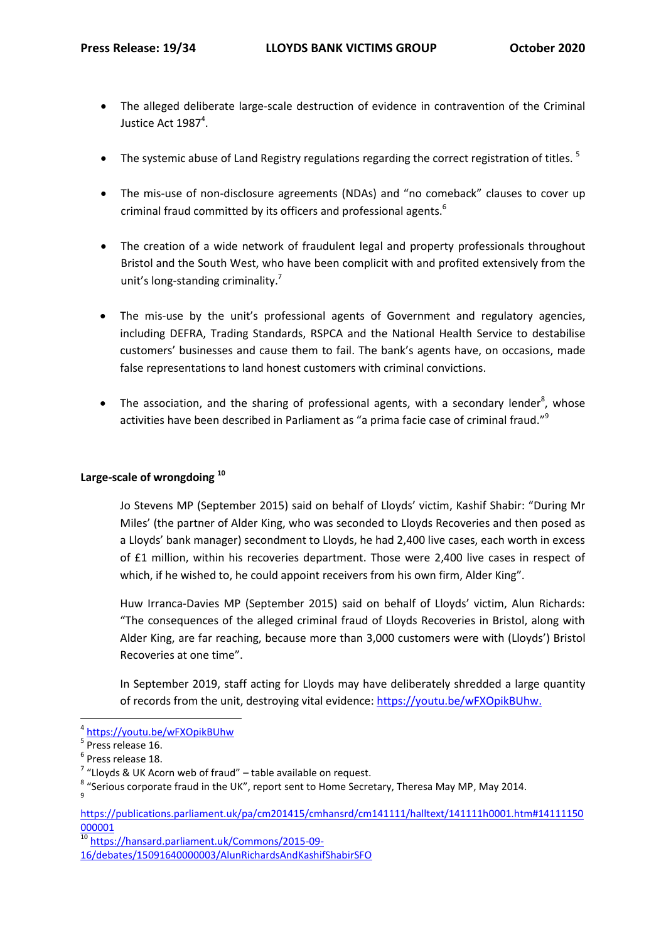- The alleged deliberate large-scale destruction of evidence in contravention of the Criminal Justice Act  $1987^4$ .
- The systemic abuse of Land Registry regulations regarding the correct registration of titles.<sup>5</sup>
- The mis-use of non-disclosure agreements (NDAs) and "no comeback" clauses to cover up criminal fraud committed by its officers and professional agents.<sup>6</sup>
- The creation of a wide network of fraudulent legal and property professionals throughout Bristol and the South West, who have been complicit with and profited extensively from the unit's long-standing criminality.<sup>7</sup>
- The mis-use by the unit's professional agents of Government and regulatory agencies, including DEFRA, Trading Standards, RSPCA and the National Health Service to destabilise customers' businesses and cause them to fail. The bank's agents have, on occasions, made false representations to land honest customers with criminal convictions.
- The association, and the sharing of professional agents, with a secondary lender<sup>8</sup>, whose activities have been described in Parliament as "a prima facie case of criminal fraud."<sup>9</sup>

# **Large-scale of wrongdoing <sup>10</sup>**

Jo Stevens MP (September 2015) said on behalf of Lloyds' victim, Kashif Shabir: "During Mr Miles' (the partner of Alder King, who was seconded to Lloyds Recoveries and then posed as a Lloyds' bank manager) secondment to Lloyds, he had 2,400 live cases, each worth in excess of £1 million, within his recoveries department. Those were 2,400 live cases in respect of which, if he wished to, he could appoint receivers from his own firm, Alder King".

Huw Irranca-Davies MP (September 2015) said on behalf of Lloyds' victim, Alun Richards: "The consequences of the alleged criminal fraud of Lloyds Recoveries in Bristol, along with Alder King, are far reaching, because more than 3,000 customers were with (Lloyds') Bristol Recoveries at one time".

In September 2019, staff acting for Lloyds may have deliberately shredded a large quantity of records from the unit, destroying vital evidence: [https://youtu.be/wFXOpikBUhw.](https://youtu.be/wFXOpikBUhw)

**.** 

<sup>10</sup> [https://hansard.parliament.uk/Commons/2015-09-](https://hansard.parliament.uk/Commons/2015-09-16/debates/15091640000003/AlunRichardsAndKashifShabirSFO) [16/debates/15091640000003/AlunRichardsAndKashifShabirSFO](https://hansard.parliament.uk/Commons/2015-09-16/debates/15091640000003/AlunRichardsAndKashifShabirSFO)

<sup>4</sup> <https://youtu.be/wFXOpikBUhw>

<sup>&</sup>lt;sup>5</sup> Press release 16.

<sup>6</sup> Press release 18.

 $7$  "Lloyds & UK Acorn web of fraud" – table available on request.

 $\frac{8}{9}$  "Serious corporate fraud in the UK", report sent to Home Secretary, Theresa May MP, May 2014.

[https://publications.parliament.uk/pa/cm201415/cmhansrd/cm141111/halltext/141111h0001.htm#14111150](https://publications.parliament.uk/pa/cm201415/cmhansrd/cm141111/halltext/141111h0001.htm#14111150000001) [000001](https://publications.parliament.uk/pa/cm201415/cmhansrd/cm141111/halltext/141111h0001.htm#14111150000001)